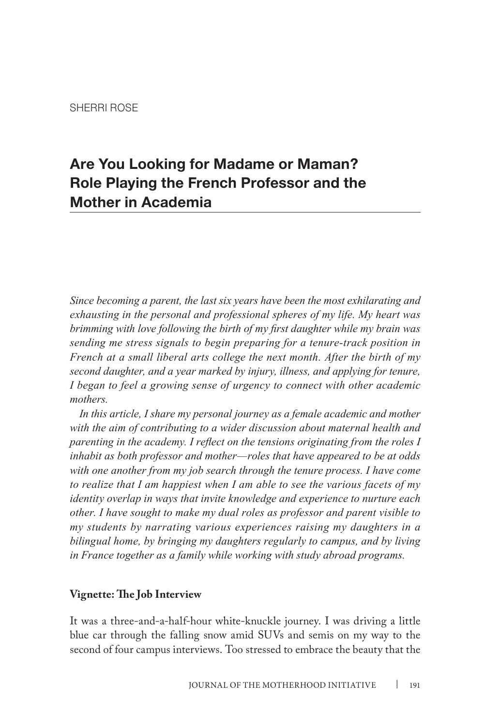# **Are You Looking for Madame or Maman? Role Playing the French Professor and the Mother in Academia**

*Since becoming a parent, the last six years have been the most exhilarating and exhausting in the personal and professional spheres of my life. My heart was brimming with love following the birth of my first daughter while my brain was sending me stress signals to begin preparing for a tenure-track position in French at a small liberal arts college the next month. After the birth of my second daughter, and a year marked by injury, illness, and applying for tenure, I began to feel a growing sense of urgency to connect with other academic mothers.* 

*In this article, I share my personal journey as a female academic and mother with the aim of contributing to a wider discussion about maternal health and parenting in the academy. I reflect on the tensions originating from the roles I inhabit as both professor and mother—roles that have appeared to be at odds with one another from my job search through the tenure process. I have come to realize that I am happiest when I am able to see the various facets of my identity overlap in ways that invite knowledge and experience to nurture each other. I have sought to make my dual roles as professor and parent visible to my students by narrating various experiences raising my daughters in a bilingual home, by bringing my daughters regularly to campus, and by living in France together as a family while working with study abroad programs.* 

### **Vignette: The Job Interview**

It was a three-and-a-half-hour white-knuckle journey. I was driving a little blue car through the falling snow amid SUVs and semis on my way to the second of four campus interviews. Too stressed to embrace the beauty that the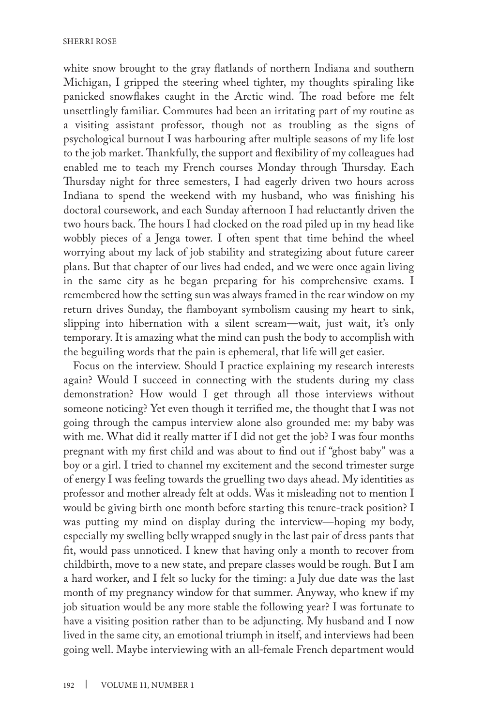white snow brought to the gray flatlands of northern Indiana and southern Michigan, I gripped the steering wheel tighter, my thoughts spiraling like panicked snowflakes caught in the Arctic wind. The road before me felt unsettlingly familiar. Commutes had been an irritating part of my routine as a visiting assistant professor, though not as troubling as the signs of psychological burnout I was harbouring after multiple seasons of my life lost to the job market. Thankfully, the support and flexibility of my colleagues had enabled me to teach my French courses Monday through Thursday. Each Thursday night for three semesters, I had eagerly driven two hours across Indiana to spend the weekend with my husband, who was finishing his doctoral coursework, and each Sunday afternoon I had reluctantly driven the two hours back. The hours I had clocked on the road piled up in my head like wobbly pieces of a Jenga tower. I often spent that time behind the wheel worrying about my lack of job stability and strategizing about future career plans. But that chapter of our lives had ended, and we were once again living in the same city as he began preparing for his comprehensive exams. I remembered how the setting sun was always framed in the rear window on my return drives Sunday, the flamboyant symbolism causing my heart to sink, slipping into hibernation with a silent scream—wait, just wait, it's only temporary. It is amazing what the mind can push the body to accomplish with the beguiling words that the pain is ephemeral, that life will get easier.

Focus on the interview. Should I practice explaining my research interests again? Would I succeed in connecting with the students during my class demonstration? How would I get through all those interviews without someone noticing? Yet even though it terrified me, the thought that I was not going through the campus interview alone also grounded me: my baby was with me. What did it really matter if I did not get the job? I was four months pregnant with my first child and was about to find out if "ghost baby" was a boy or a girl. I tried to channel my excitement and the second trimester surge of energy I was feeling towards the gruelling two days ahead. My identities as professor and mother already felt at odds. Was it misleading not to mention I would be giving birth one month before starting this tenure-track position? I was putting my mind on display during the interview—hoping my body, especially my swelling belly wrapped snugly in the last pair of dress pants that fit, would pass unnoticed. I knew that having only a month to recover from childbirth, move to a new state, and prepare classes would be rough. But I am a hard worker, and I felt so lucky for the timing: a July due date was the last month of my pregnancy window for that summer. Anyway, who knew if my job situation would be any more stable the following year? I was fortunate to have a visiting position rather than to be adjuncting. My husband and I now lived in the same city, an emotional triumph in itself, and interviews had been going well. Maybe interviewing with an all-female French department would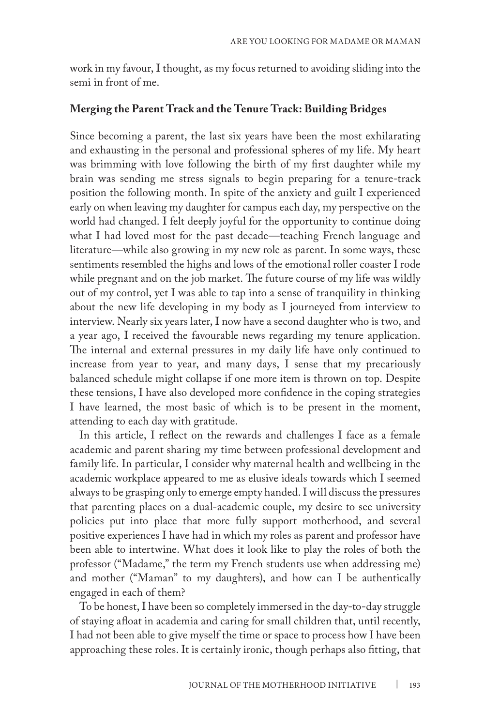work in my favour, I thought, as my focus returned to avoiding sliding into the semi in front of me.

#### **Merging the Parent Track and the Tenure Track: Building Bridges**

Since becoming a parent, the last six years have been the most exhilarating and exhausting in the personal and professional spheres of my life. My heart was brimming with love following the birth of my first daughter while my brain was sending me stress signals to begin preparing for a tenure-track position the following month. In spite of the anxiety and guilt I experienced early on when leaving my daughter for campus each day, my perspective on the world had changed. I felt deeply joyful for the opportunity to continue doing what I had loved most for the past decade—teaching French language and literature—while also growing in my new role as parent. In some ways, these sentiments resembled the highs and lows of the emotional roller coaster I rode while pregnant and on the job market. The future course of my life was wildly out of my control, yet I was able to tap into a sense of tranquility in thinking about the new life developing in my body as I journeyed from interview to interview. Nearly six years later, I now have a second daughter who is two, and a year ago, I received the favourable news regarding my tenure application. The internal and external pressures in my daily life have only continued to increase from year to year, and many days, I sense that my precariously balanced schedule might collapse if one more item is thrown on top. Despite these tensions, I have also developed more confidence in the coping strategies I have learned, the most basic of which is to be present in the moment, attending to each day with gratitude.

In this article, I reflect on the rewards and challenges I face as a female academic and parent sharing my time between professional development and family life. In particular, I consider why maternal health and wellbeing in the academic workplace appeared to me as elusive ideals towards which I seemed always to be grasping only to emerge empty handed. I will discuss the pressures that parenting places on a dual-academic couple, my desire to see university policies put into place that more fully support motherhood, and several positive experiences I have had in which my roles as parent and professor have been able to intertwine. What does it look like to play the roles of both the professor ("Madame," the term my French students use when addressing me) and mother ("Maman" to my daughters), and how can I be authentically engaged in each of them?

To be honest, I have been so completely immersed in the day-to-day struggle of staying afloat in academia and caring for small children that, until recently, I had not been able to give myself the time or space to process how I have been approaching these roles. It is certainly ironic, though perhaps also fitting, that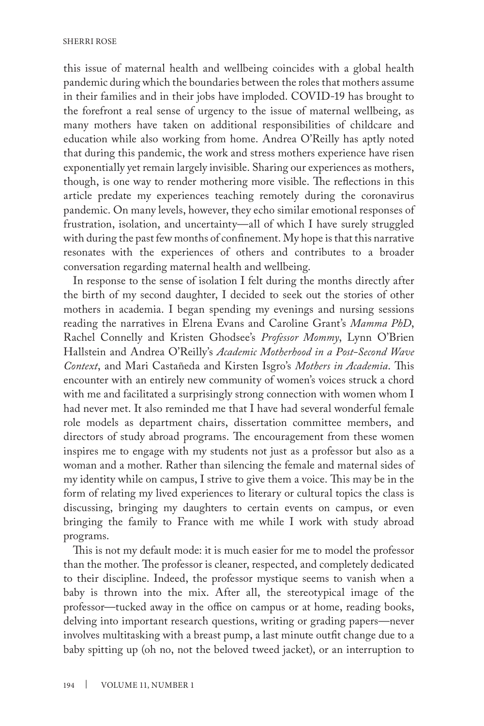this issue of maternal health and wellbeing coincides with a global health pandemic during which the boundaries between the roles that mothers assume in their families and in their jobs have imploded. COVID-19 has brought to the forefront a real sense of urgency to the issue of maternal wellbeing, as many mothers have taken on additional responsibilities of childcare and education while also working from home. Andrea O'Reilly has aptly noted that during this pandemic, the work and stress mothers experience have risen exponentially yet remain largely invisible. Sharing our experiences as mothers, though, is one way to render mothering more visible. The reflections in this article predate my experiences teaching remotely during the coronavirus pandemic. On many levels, however, they echo similar emotional responses of frustration, isolation, and uncertainty—all of which I have surely struggled with during the past few months of confinement. My hope is that this narrative resonates with the experiences of others and contributes to a broader conversation regarding maternal health and wellbeing.

In response to the sense of isolation I felt during the months directly after the birth of my second daughter, I decided to seek out the stories of other mothers in academia. I began spending my evenings and nursing sessions reading the narratives in Elrena Evans and Caroline Grant's *Mamma PhD*, Rachel Connelly and Kristen Ghodsee's *Professor Mommy*, Lynn O'Brien Hallstein and Andrea O'Reilly's *Academic Motherhood in a Post-Second Wave Context*, and Mari Castañeda and Kirsten Isgro's *Mothers in Academia*. This encounter with an entirely new community of women's voices struck a chord with me and facilitated a surprisingly strong connection with women whom I had never met. It also reminded me that I have had several wonderful female role models as department chairs, dissertation committee members, and directors of study abroad programs. The encouragement from these women inspires me to engage with my students not just as a professor but also as a woman and a mother. Rather than silencing the female and maternal sides of my identity while on campus, I strive to give them a voice. This may be in the form of relating my lived experiences to literary or cultural topics the class is discussing, bringing my daughters to certain events on campus, or even bringing the family to France with me while I work with study abroad programs.

This is not my default mode: it is much easier for me to model the professor than the mother. The professor is cleaner, respected, and completely dedicated to their discipline. Indeed, the professor mystique seems to vanish when a baby is thrown into the mix. After all, the stereotypical image of the professor—tucked away in the office on campus or at home, reading books, delving into important research questions, writing or grading papers—never involves multitasking with a breast pump, a last minute outfit change due to a baby spitting up (oh no, not the beloved tweed jacket), or an interruption to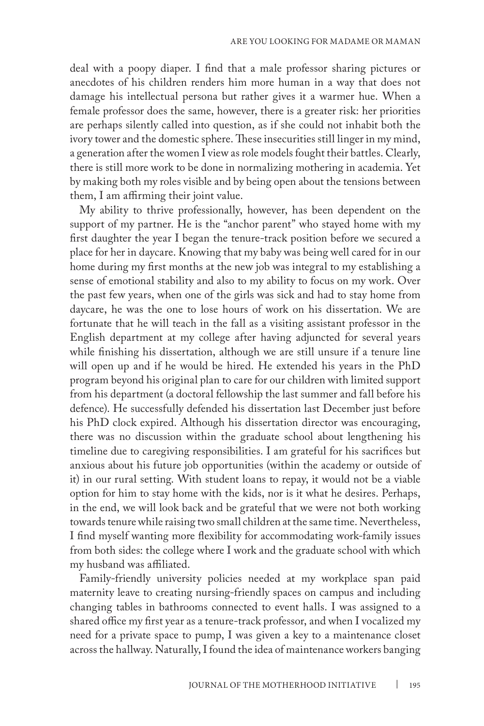deal with a poopy diaper. I find that a male professor sharing pictures or anecdotes of his children renders him more human in a way that does not damage his intellectual persona but rather gives it a warmer hue. When a female professor does the same, however, there is a greater risk: her priorities are perhaps silently called into question, as if she could not inhabit both the ivory tower and the domestic sphere. These insecurities still linger in my mind, a generation after the women I view as role models fought their battles. Clearly, there is still more work to be done in normalizing mothering in academia. Yet by making both my roles visible and by being open about the tensions between them, I am affirming their joint value.

My ability to thrive professionally, however, has been dependent on the support of my partner. He is the "anchor parent" who stayed home with my first daughter the year I began the tenure-track position before we secured a place for her in daycare. Knowing that my baby was being well cared for in our home during my first months at the new job was integral to my establishing a sense of emotional stability and also to my ability to focus on my work. Over the past few years, when one of the girls was sick and had to stay home from daycare, he was the one to lose hours of work on his dissertation. We are fortunate that he will teach in the fall as a visiting assistant professor in the English department at my college after having adjuncted for several years while finishing his dissertation, although we are still unsure if a tenure line will open up and if he would be hired. He extended his years in the PhD program beyond his original plan to care for our children with limited support from his department (a doctoral fellowship the last summer and fall before his defence). He successfully defended his dissertation last December just before his PhD clock expired. Although his dissertation director was encouraging, there was no discussion within the graduate school about lengthening his timeline due to caregiving responsibilities. I am grateful for his sacrifices but anxious about his future job opportunities (within the academy or outside of it) in our rural setting. With student loans to repay, it would not be a viable option for him to stay home with the kids, nor is it what he desires. Perhaps, in the end, we will look back and be grateful that we were not both working towards tenure while raising two small children at the same time. Nevertheless, I find myself wanting more flexibility for accommodating work-family issues from both sides: the college where I work and the graduate school with which my husband was affiliated.

Family-friendly university policies needed at my workplace span paid maternity leave to creating nursing-friendly spaces on campus and including changing tables in bathrooms connected to event halls. I was assigned to a shared office my first year as a tenure-track professor, and when I vocalized my need for a private space to pump, I was given a key to a maintenance closet across the hallway. Naturally, I found the idea of maintenance workers banging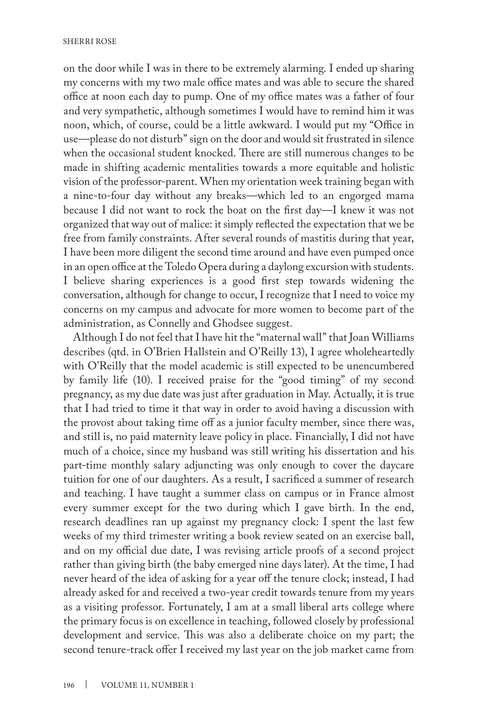on the door while I was in there to be extremely alarming. I ended up sharing my concerns with my two male office mates and was able to secure the shared office at noon each day to pump. One of my office mates was a father of four and very sympathetic, although sometimes I would have to remind him it was noon, which, of course, could be a little awkward. I would put my "Office in use—please do not disturb" sign on the door and would sit frustrated in silence when the occasional student knocked. There are still numerous changes to be made in shifting academic mentalities towards a more equitable and holistic vision of the professor-parent. When my orientation week training began with a nine-to-four day without any breaks—which led to an engorged mama because I did not want to rock the boat on the first day—I knew it was not organized that way out of malice: it simply reflected the expectation that we be free from family constraints. After several rounds of mastitis during that year, I have been more diligent the second time around and have even pumped once in an open office at the Toledo Opera during a daylong excursion with students. I believe sharing experiences is a good first step towards widening the conversation, although for change to occur, I recognize that I need to voice my concerns on my campus and advocate for more women to become part of the administration, as Connelly and Ghodsee suggest.

Although I do not feel that I have hit the "maternal wall" that Joan Williams describes (qtd. in O'Brien Hallstein and O'Reilly 13), I agree wholeheartedly with O'Reilly that the model academic is still expected to be unencumbered by family life (10). I received praise for the "good timing" of my second pregnancy, as my due date was just after graduation in May. Actually, it is true that I had tried to time it that way in order to avoid having a discussion with the provost about taking time off as a junior faculty member, since there was, and still is, no paid maternity leave policy in place. Financially, I did not have much of a choice, since my husband was still writing his dissertation and his part-time monthly salary adjuncting was only enough to cover the daycare tuition for one of our daughters. As a result, I sacrificed a summer of research and teaching. I have taught a summer class on campus or in France almost every summer except for the two during which I gave birth. In the end, research deadlines ran up against my pregnancy clock: I spent the last few weeks of my third trimester writing a book review seated on an exercise ball, and on my official due date, I was revising article proofs of a second project rather than giving birth (the baby emerged nine days later). At the time, I had never heard of the idea of asking for a year off the tenure clock; instead, I had already asked for and received a two-year credit towards tenure from my years as a visiting professor. Fortunately, I am at a small liberal arts college where the primary focus is on excellence in teaching, followed closely by professional development and service. This was also a deliberate choice on my part; the second tenure-track offer I received my last year on the job market came from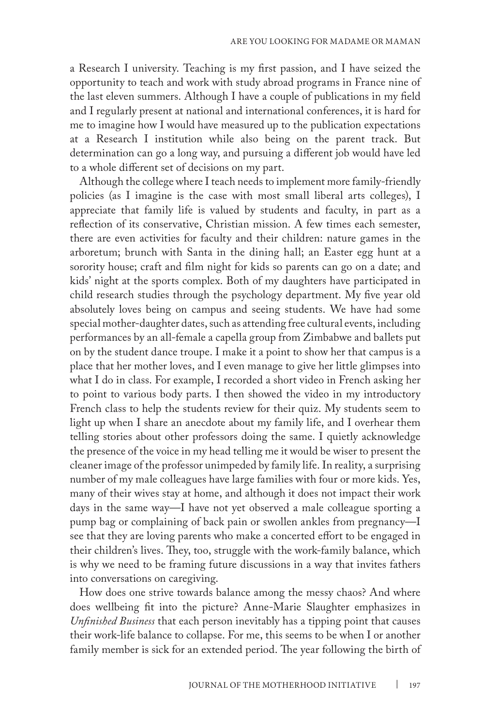a Research I university. Teaching is my first passion, and I have seized the opportunity to teach and work with study abroad programs in France nine of the last eleven summers. Although I have a couple of publications in my field and I regularly present at national and international conferences, it is hard for me to imagine how I would have measured up to the publication expectations at a Research I institution while also being on the parent track. But determination can go a long way, and pursuing a different job would have led to a whole different set of decisions on my part.

Although the college where I teach needs to implement more family-friendly policies (as I imagine is the case with most small liberal arts colleges), I appreciate that family life is valued by students and faculty, in part as a reflection of its conservative, Christian mission. A few times each semester, there are even activities for faculty and their children: nature games in the arboretum; brunch with Santa in the dining hall; an Easter egg hunt at a sorority house; craft and film night for kids so parents can go on a date; and kids' night at the sports complex. Both of my daughters have participated in child research studies through the psychology department. My five year old absolutely loves being on campus and seeing students. We have had some special mother-daughter dates, such as attending free cultural events, including performances by an all-female a capella group from Zimbabwe and ballets put on by the student dance troupe. I make it a point to show her that campus is a place that her mother loves, and I even manage to give her little glimpses into what I do in class. For example, I recorded a short video in French asking her to point to various body parts. I then showed the video in my introductory French class to help the students review for their quiz. My students seem to light up when I share an anecdote about my family life, and I overhear them telling stories about other professors doing the same. I quietly acknowledge the presence of the voice in my head telling me it would be wiser to present the cleaner image of the professor unimpeded by family life. In reality, a surprising number of my male colleagues have large families with four or more kids. Yes, many of their wives stay at home, and although it does not impact their work days in the same way—I have not yet observed a male colleague sporting a pump bag or complaining of back pain or swollen ankles from pregnancy—I see that they are loving parents who make a concerted effort to be engaged in their children's lives. They, too, struggle with the work-family balance, which is why we need to be framing future discussions in a way that invites fathers into conversations on caregiving.

How does one strive towards balance among the messy chaos? And where does wellbeing fit into the picture? Anne-Marie Slaughter emphasizes in *Unfinished Business* that each person inevitably has a tipping point that causes their work-life balance to collapse. For me, this seems to be when I or another family member is sick for an extended period. The year following the birth of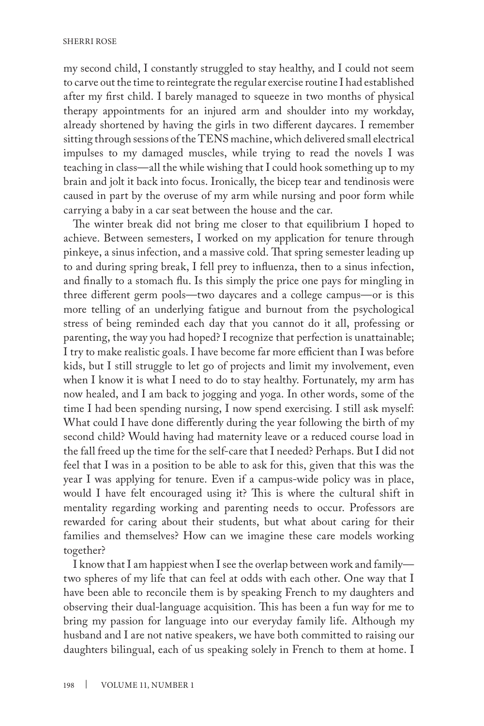my second child, I constantly struggled to stay healthy, and I could not seem to carve out the time to reintegrate the regular exercise routine I had established after my first child. I barely managed to squeeze in two months of physical therapy appointments for an injured arm and shoulder into my workday, already shortened by having the girls in two different daycares. I remember sitting through sessions of the TENS machine, which delivered small electrical impulses to my damaged muscles, while trying to read the novels I was teaching in class—all the while wishing that I could hook something up to my brain and jolt it back into focus. Ironically, the bicep tear and tendinosis were caused in part by the overuse of my arm while nursing and poor form while carrying a baby in a car seat between the house and the car.

The winter break did not bring me closer to that equilibrium I hoped to achieve. Between semesters, I worked on my application for tenure through pinkeye, a sinus infection, and a massive cold. That spring semester leading up to and during spring break, I fell prey to influenza, then to a sinus infection, and finally to a stomach flu. Is this simply the price one pays for mingling in three different germ pools—two daycares and a college campus—or is this more telling of an underlying fatigue and burnout from the psychological stress of being reminded each day that you cannot do it all, professing or parenting, the way you had hoped? I recognize that perfection is unattainable; I try to make realistic goals. I have become far more efficient than I was before kids, but I still struggle to let go of projects and limit my involvement, even when I know it is what I need to do to stay healthy. Fortunately, my arm has now healed, and I am back to jogging and yoga. In other words, some of the time I had been spending nursing, I now spend exercising. I still ask myself: What could I have done differently during the year following the birth of my second child? Would having had maternity leave or a reduced course load in the fall freed up the time for the self-care that I needed? Perhaps. But I did not feel that I was in a position to be able to ask for this, given that this was the year I was applying for tenure. Even if a campus-wide policy was in place, would I have felt encouraged using it? This is where the cultural shift in mentality regarding working and parenting needs to occur. Professors are rewarded for caring about their students, but what about caring for their families and themselves? How can we imagine these care models working together?

I know that I am happiest when I see the overlap between work and family two spheres of my life that can feel at odds with each other. One way that I have been able to reconcile them is by speaking French to my daughters and observing their dual-language acquisition. This has been a fun way for me to bring my passion for language into our everyday family life. Although my husband and I are not native speakers, we have both committed to raising our daughters bilingual, each of us speaking solely in French to them at home. I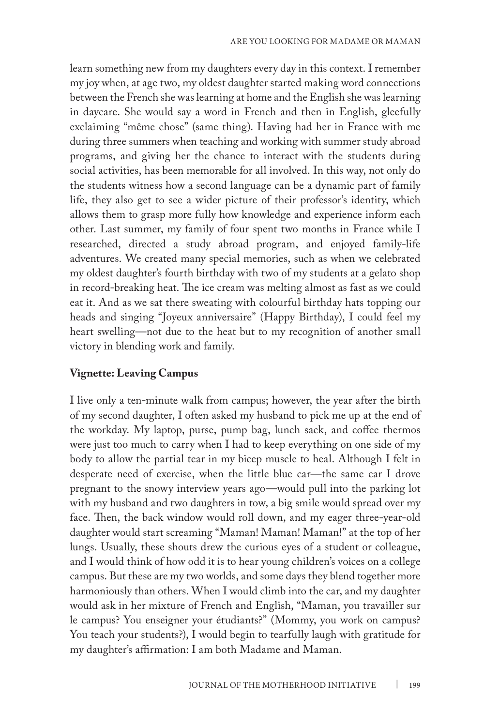learn something new from my daughters every day in this context. I remember my joy when, at age two, my oldest daughter started making word connections between the French she was learning at home and the English she was learning in daycare. She would say a word in French and then in English, gleefully exclaiming "même chose" (same thing). Having had her in France with me during three summers when teaching and working with summer study abroad programs, and giving her the chance to interact with the students during social activities, has been memorable for all involved. In this way, not only do the students witness how a second language can be a dynamic part of family life, they also get to see a wider picture of their professor's identity, which allows them to grasp more fully how knowledge and experience inform each other. Last summer, my family of four spent two months in France while I researched, directed a study abroad program, and enjoyed family-life adventures. We created many special memories, such as when we celebrated my oldest daughter's fourth birthday with two of my students at a gelato shop in record-breaking heat. The ice cream was melting almost as fast as we could eat it. And as we sat there sweating with colourful birthday hats topping our heads and singing "Joyeux anniversaire" (Happy Birthday), I could feel my heart swelling—not due to the heat but to my recognition of another small victory in blending work and family.

## **Vignette: Leaving Campus**

I live only a ten-minute walk from campus; however, the year after the birth of my second daughter, I often asked my husband to pick me up at the end of the workday. My laptop, purse, pump bag, lunch sack, and coffee thermos were just too much to carry when I had to keep everything on one side of my body to allow the partial tear in my bicep muscle to heal. Although I felt in desperate need of exercise, when the little blue car—the same car I drove pregnant to the snowy interview years ago—would pull into the parking lot with my husband and two daughters in tow, a big smile would spread over my face. Then, the back window would roll down, and my eager three-year-old daughter would start screaming "Maman! Maman! Maman!" at the top of her lungs. Usually, these shouts drew the curious eyes of a student or colleague, and I would think of how odd it is to hear young children's voices on a college campus. But these are my two worlds, and some days they blend together more harmoniously than others. When I would climb into the car, and my daughter would ask in her mixture of French and English, "Maman, you travailler sur le campus? You enseigner your étudiants?" (Mommy, you work on campus? You teach your students?), I would begin to tearfully laugh with gratitude for my daughter's affirmation: I am both Madame and Maman.